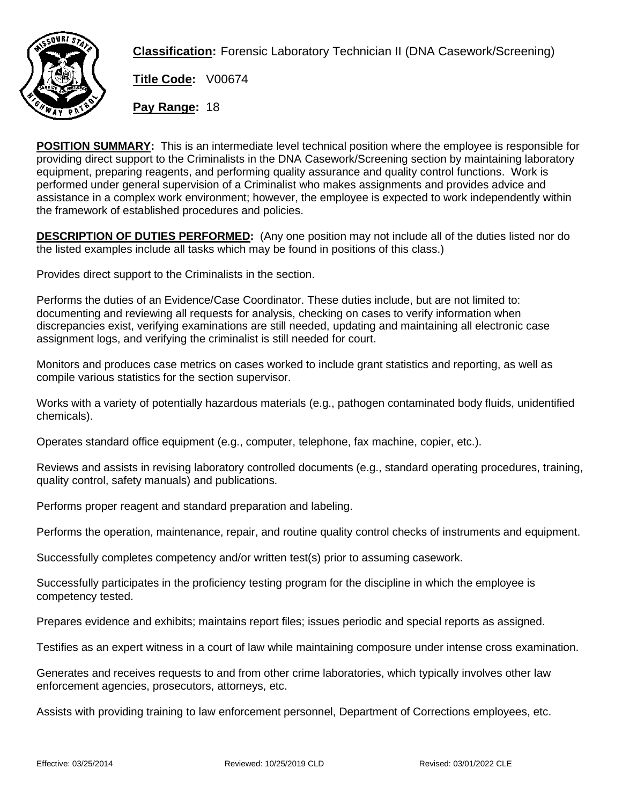

**Classification:** Forensic Laboratory Technician II (DNA Casework/Screening)

**Title Code:** V00674

**Pay Range:** 18

**POSITION SUMMARY:** This is an intermediate level technical position where the employee is responsible for providing direct support to the Criminalists in the DNA Casework/Screening section by maintaining laboratory equipment, preparing reagents, and performing quality assurance and quality control functions. Work is performed under general supervision of a Criminalist who makes assignments and provides advice and assistance in a complex work environment; however, the employee is expected to work independently within the framework of established procedures and policies.

**DESCRIPTION OF DUTIES PERFORMED:** (Any one position may not include all of the duties listed nor do the listed examples include all tasks which may be found in positions of this class.)

Provides direct support to the Criminalists in the section.

Performs the duties of an Evidence/Case Coordinator. These duties include, but are not limited to: documenting and reviewing all requests for analysis, checking on cases to verify information when discrepancies exist, verifying examinations are still needed, updating and maintaining all electronic case assignment logs, and verifying the criminalist is still needed for court.

Monitors and produces case metrics on cases worked to include grant statistics and reporting, as well as compile various statistics for the section supervisor.

Works with a variety of potentially hazardous materials (e.g., pathogen contaminated body fluids, unidentified chemicals).

Operates standard office equipment (e.g., computer, telephone, fax machine, copier, etc.).

Reviews and assists in revising laboratory controlled documents (e.g., standard operating procedures, training, quality control, safety manuals) and publications.

Performs proper reagent and standard preparation and labeling.

Performs the operation, maintenance, repair, and routine quality control checks of instruments and equipment.

Successfully completes competency and/or written test(s) prior to assuming casework.

Successfully participates in the proficiency testing program for the discipline in which the employee is competency tested.

Prepares evidence and exhibits; maintains report files; issues periodic and special reports as assigned.

Testifies as an expert witness in a court of law while maintaining composure under intense cross examination.

Generates and receives requests to and from other crime laboratories, which typically involves other law enforcement agencies, prosecutors, attorneys, etc.

Assists with providing training to law enforcement personnel, Department of Corrections employees, etc.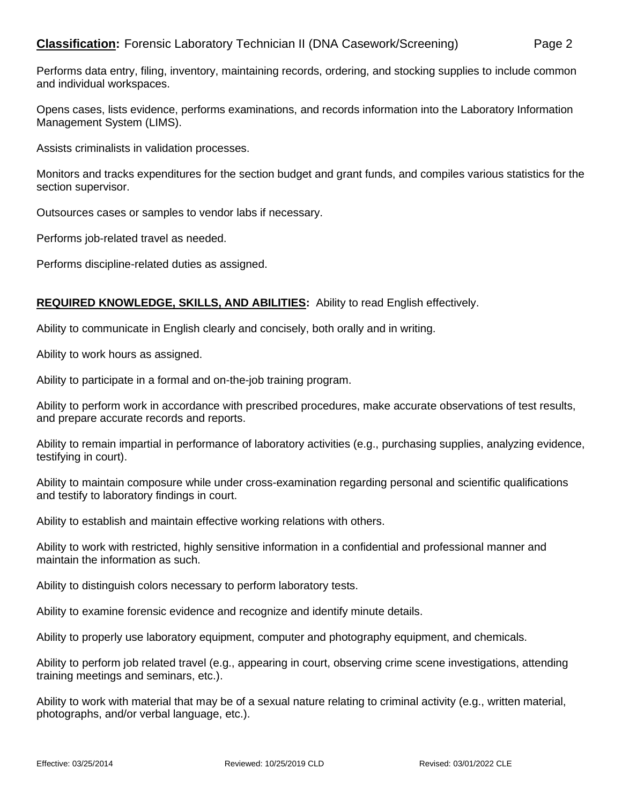## **Classification:** Forensic Laboratory Technician II (DNA Casework/Screening) Page 2

Performs data entry, filing, inventory, maintaining records, ordering, and stocking supplies to include common and individual workspaces.

Opens cases, lists evidence, performs examinations, and records information into the Laboratory Information Management System (LIMS).

Assists criminalists in validation processes.

Monitors and tracks expenditures for the section budget and grant funds, and compiles various statistics for the section supervisor.

Outsources cases or samples to vendor labs if necessary.

Performs job-related travel as needed.

Performs discipline-related duties as assigned.

## **REQUIRED KNOWLEDGE, SKILLS, AND ABILITIES:** Ability to read English effectively.

Ability to communicate in English clearly and concisely, both orally and in writing.

Ability to work hours as assigned.

Ability to participate in a formal and on-the-job training program.

Ability to perform work in accordance with prescribed procedures, make accurate observations of test results, and prepare accurate records and reports.

Ability to remain impartial in performance of laboratory activities (e.g., purchasing supplies, analyzing evidence, testifying in court).

Ability to maintain composure while under cross-examination regarding personal and scientific qualifications and testify to laboratory findings in court.

Ability to establish and maintain effective working relations with others.

Ability to work with restricted, highly sensitive information in a confidential and professional manner and maintain the information as such.

Ability to distinguish colors necessary to perform laboratory tests.

Ability to examine forensic evidence and recognize and identify minute details.

Ability to properly use laboratory equipment, computer and photography equipment, and chemicals.

Ability to perform job related travel (e.g., appearing in court, observing crime scene investigations, attending training meetings and seminars, etc.).

Ability to work with material that may be of a sexual nature relating to criminal activity (e.g., written material, photographs, and/or verbal language, etc.).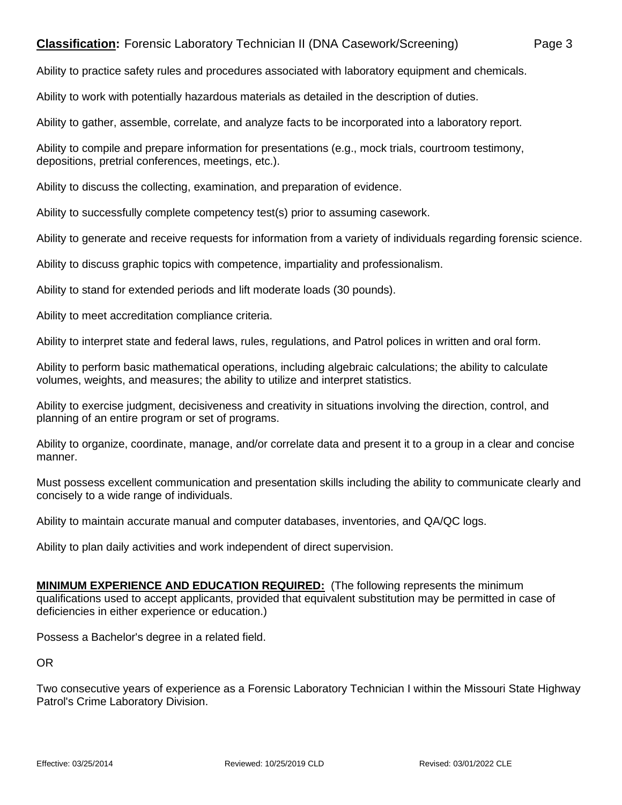## **Classification:** Forensic Laboratory Technician II (DNA Casework/Screening) Page 3

Ability to practice safety rules and procedures associated with laboratory equipment and chemicals.

Ability to work with potentially hazardous materials as detailed in the description of duties.

Ability to gather, assemble, correlate, and analyze facts to be incorporated into a laboratory report.

Ability to compile and prepare information for presentations (e.g., mock trials, courtroom testimony, depositions, pretrial conferences, meetings, etc.).

Ability to discuss the collecting, examination, and preparation of evidence.

Ability to successfully complete competency test(s) prior to assuming casework.

Ability to generate and receive requests for information from a variety of individuals regarding forensic science.

Ability to discuss graphic topics with competence, impartiality and professionalism.

Ability to stand for extended periods and lift moderate loads (30 pounds).

Ability to meet accreditation compliance criteria.

Ability to interpret state and federal laws, rules, regulations, and Patrol polices in written and oral form.

Ability to perform basic mathematical operations, including algebraic calculations; the ability to calculate volumes, weights, and measures; the ability to utilize and interpret statistics.

Ability to exercise judgment, decisiveness and creativity in situations involving the direction, control, and planning of an entire program or set of programs.

Ability to organize, coordinate, manage, and/or correlate data and present it to a group in a clear and concise manner.

Must possess excellent communication and presentation skills including the ability to communicate clearly and concisely to a wide range of individuals.

Ability to maintain accurate manual and computer databases, inventories, and QA/QC logs.

Ability to plan daily activities and work independent of direct supervision.

**MINIMUM EXPERIENCE AND EDUCATION REQUIRED:** (The following represents the minimum qualifications used to accept applicants, provided that equivalent substitution may be permitted in case of deficiencies in either experience or education.)

Possess a Bachelor's degree in a related field.

OR

Two consecutive years of experience as a Forensic Laboratory Technician I within the Missouri State Highway Patrol's Crime Laboratory Division.